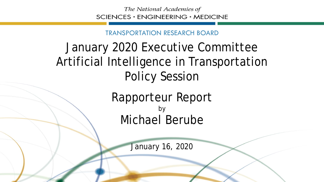## TRANSPORTATION RESEARCH BOARD

## January 2020 Executive Committee Artificial Intelligence in Transportation Policy Session

Rapporteur Report by Michael Berube

January 16, 2020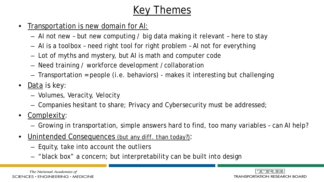## *Key Themes*

- Transportation is new domain for AI:
	- AI not new but new computing / big data making it relevant here to stay
	- AI is a toolbox need right tool for right problem AI not for everything
	- Lot of myths and mystery, but AI is math and computer code
	- Need training / workforce development /collaboration
	- Transportation = people (i.e. behaviors) makes it interesting but challenging
- Data is key:
	- Volumes, Veracity, Velocity
	- Companies hesitant to share; Privacy and Cybersecurity must be addressed;
- Complexity:
	- Growing in transportation, simple answers hard to find, too many variables can AI help?
- Unintended Consequences *(but any diff. than today?)*:
	- Equity, take into account the outliers
	- "black box" a concern; but interpretability can be built into design